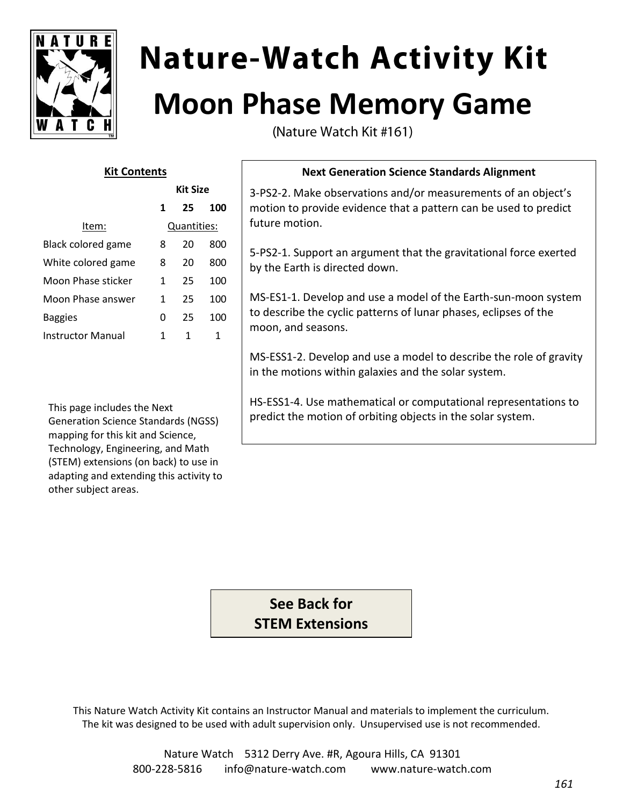

# **Nature-Watch Activity Kit Moon Phase Memory Game**

(Nature Watch Kit #161)

# **Kit Contents**

|                           | <b>Kit Size</b> |    |     |
|---------------------------|-----------------|----|-----|
|                           | 1               | 25 | 100 |
| ltem:                     | Quantities:     |    |     |
| <b>Black colored game</b> | 8               | 20 | 800 |
| White colored game        | 8               | 20 | 800 |
| Moon Phase sticker        | 1               | 25 | 100 |
| Moon Phase answer         | 1               | 25 | 100 |
| <b>Baggies</b>            | 0               | 25 | 100 |
| Instructor Manual         | 1               | 1  | 1   |

This page includes the Next Generation Science Standards (NGSS) mapping for this kit and Science, Technology, Engineering, and Math (STEM) extensions (on back) to use in adapting and extending this activity to other subject areas.

# **Next Generation Science Standards Alignment**

3-PS2-2. Make observations and/or measurements of an object's motion to provide evidence that a pattern can be used to predict future motion.

5-PS2-1. Support an argument that the gravitational force exerted by the Earth is directed down.

MS-ES1-1. Develop and use a model of the Earth-sun-moon system to describe the cyclic patterns of lunar phases, eclipses of the moon, and seasons.

MS-ESS1-2. Develop and use a model to describe the role of gravity in the motions within galaxies and the solar system.

HS-ESS1-4. Use mathematical or computational representations to predict the motion of orbiting objects in the solar system.

**See Back for STEM Extensions**

This Nature Watch Activity Kit contains an Instructor Manual and materials to implement the curriculum. The kit was designed to be used with adult supervision only. Unsupervised use is not recommended.